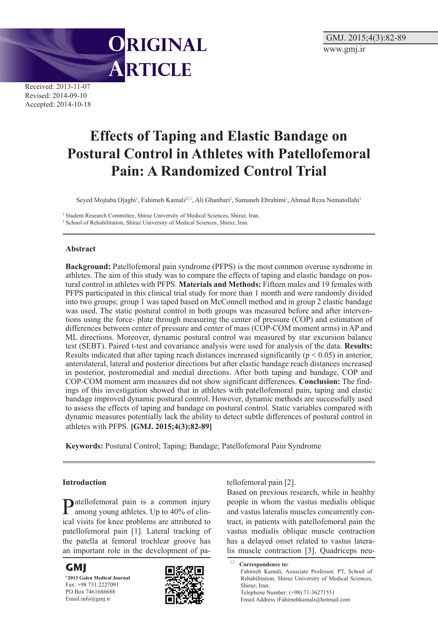

Received: 2013-11-07 Revised: 2014-09-10 Accepted: 2014-10-18

# **Effects of Taping and Elastic Bandage on Postural Control in Athletes with Patellofemoral Pain: A Randomized Control Trial**

Seyed Mojtaba Ojaghi<sup>1</sup>, Fahimeh Kamali<sup>2⊠</sup>, Ali Ghanbari<sup>2</sup>, Samaneh Ebrahimi<sup>1</sup>, Ahmad Reza Nematollahi<sup>1</sup>

<sup>1</sup> Student Research Committee, Shiraz University of Medical Sciences, Shiraz, Iran.

2 School of Rehabilitation, Shiraz University of Medical Sciences, Shiraz, Iran.

## **Abstract**

**Background:** Patellofemoral pain syndrome (PFPS) is the most common overuse syndrome in athletes. The aim of this study was to compare the effects of taping and elastic bandage on postural control in athletes with PFPS. **Materials and Methods:** Fifteen males and 19 females with PFPS participated in this clinical trial study for more than 1 month and were randomly divided into two groups; group 1 was taped based on McConnell method and in group 2 elastic bandage was used. The static postural control in both groups was measured before and after interventions using the force- plate through measuring the center of pressure (COP) and estimation of differences between center of pressure and center of mass (COP-COM moment arms) in AP and ML directions. Moreover, dynamic postural control was measured by star excursion balance test (SEBT). Paired t-test and covariance analysis were used for analysis of the data. **Results:**  Results indicated that after taping reach distances increased significantly ( $p < 0.05$ ) in anterior, anterolateral, lateral and posterior directions but after elastic bandage reach distances increased in posterior, posteromedial and medial directions. After both taping and bandage, COP and COP-COM moment arm measures did not show significant differences. **Conclusion:** The findings of this investigation showed that in athletes with patellofemoral pain, taping and elastic bandage improved dynamic postural control. However, dynamic methods are successfully used to assess the effects of taping and bandage on postural control. Static variables compared with dynamic measures potentially lack the ability to detect subtle differences of postural control in athletes with PFPS. **[GMJ. 2015;4(3):82-89]**

**Keywords:** Postural Control; Taping; Bandage; Patellofemoral Pain Syndrome

# **Introduction**

Patellofemoral pain is a common injury among young athletes. Up to 40% of clinical visits for knee problems are attributed to patellofemoral pain [1]. Lateral tracking of the patella at femoral trochlear groove has an important role in the development of pa-

**GMJ**

**©2013 Galen Medical Journal** Fax: +98 731 2227091 PO Box 7461686688 Email:info@gmj.ir



tellofemoral pain [2].

Based on previous research, while in healthy people in whom the vastus medialis oblique and vastus lateralis muscles concurrently contract, in patients with patellofemoral pain the vastus medialis oblique muscle contraction has a delayed onset related to vastus lateralis muscle contraction [3]. Quadriceps neu-

**Correspondence to:** Fahimeh Kamali, Associate Professor, PT, School of Rehabilitation, Shiraz University of Medical Sciences, Shiraz, Iran. Telephone Number: (+98) 71-36271551 Email Address **:**Fahimehkamali@hotmail.com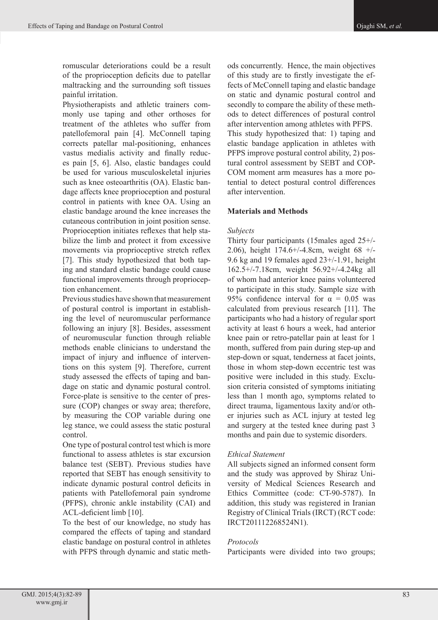romuscular deteriorations could be a result of the proprioception deficits due to patellar maltracking and the surrounding soft tissues painful irritation.

Physiotherapists and athletic trainers commonly use taping and other orthoses for treatment of the athletes who suffer from patellofemoral pain [4]. McConnell taping corrects patellar mal-positioning, enhances vastus medialis activity and finally reduces pain [5, 6]. Also, elastic bandages could be used for various musculoskeletal injuries such as knee osteoarthritis (OA). Elastic bandage affects knee proprioception and postural control in patients with knee OA. Using an elastic bandage around the knee increases the cutaneous contribution in joint position sense. Proprioception initiates reflexes that help stabilize the limb and protect it from excessive movements via proprioceptive stretch reflex [7]. This study hypothesized that both taping and standard elastic bandage could cause functional improvements through proprioception enhancement.

Previous studies have shown that measurement of postural control is important in establishing the level of neuromuscular performance following an injury [8]. Besides, assessment of neuromuscular function through reliable methods enable clinicians to understand the impact of injury and influence of interventions on this system [9]. Therefore, current study assessed the effects of taping and bandage on static and dynamic postural control. Force-plate is sensitive to the center of pressure (COP) changes or sway area; therefore, by measuring the COP variable during one leg stance, we could assess the static postural control.

One type of postural control test which is more functional to assess athletes is star excursion balance test (SEBT). Previous studies have reported that SEBT has enough sensitivity to indicate dynamic postural control deficits in patients with Patellofemoral pain syndrome (PFPS), chronic ankle instability (CAI) and ACL-deficient limb [10].

To the best of our knowledge, no study has compared the effects of taping and standard elastic bandage on postural control in athletes with PFPS through dynamic and static methods concurrently. Hence, the main objectives of this study are to firstly investigate the effects of McConnell taping and elastic bandage on static and dynamic postural control and secondly to compare the ability of these methods to detect differences of postural control after intervention among athletes with PFPS. This study hypothesized that: 1) taping and elastic bandage application in athletes with PFPS improve postural control ability, 2) postural control assessment by SEBT and COP-COM moment arm measures has a more potential to detect postural control differences after intervention.

## **Materials and Methods**

#### *Subjects*

Thirty four participants (15males aged 25+/- 2.06), height 174.6+/-4.8cm, weight 68 +/- 9.6 kg and 19 females aged 23+/-1.91, height 162.5+/-7.18cm, weight 56.92+/-4.24kg all of whom had anterior knee pains volunteered to participate in this study. Sample size with 95% confidence interval for  $\alpha = 0.05$  was calculated from previous research [11]. The participants who had a history of regular sport activity at least 6 hours a week, had anterior knee pain or retro-patellar pain at least for 1 month, suffered from pain during step-up and step-down or squat, tenderness at facet joints, those in whom step-down eccentric test was positive were included in this study. Exclusion criteria consisted of symptoms initiating less than 1 month ago, symptoms related to direct trauma, ligamentous laxity and/or other injuries such as ACL injury at tested leg and surgery at the tested knee during past 3 months and pain due to systemic disorders.

# *Ethical Statement*

All subjects signed an informed consent form and the study was approved by Shiraz University of Medical Sciences Research and Ethics Committee (code: CT-90-5787). In addition, this study was registered in Iranian Registry of Clinical Trials (IRCT) (RCT code: IRCT201112268524N1).

# *Protocols*

Participants were divided into two groups;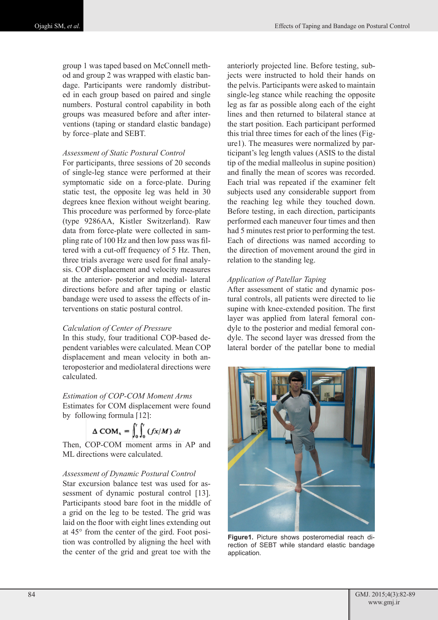group 1 was taped based on McConnell method and group 2 was wrapped with elastic bandage. Participants were randomly distributed in each group based on paired and single numbers. Postural control capability in both groups was measured before and after interventions (taping or standard elastic bandage) by force–plate and SEBT.

#### *Assessment of Static Postural Control*

For participants, three sessions of 20 seconds of single-leg stance were performed at their symptomatic side on a force-plate. During static test, the opposite leg was held in 30 degrees knee flexion without weight bearing. This procedure was performed by force-plate (type 9286AA, Kistler Switzerland). Raw data from force-plate were collected in sampling rate of 100 Hz and then low pass was filtered with a cut-off frequency of 5 Hz. Then, three trials average were used for final analysis. COP displacement and velocity measures at the anterior- posterior and medial- lateral directions before and after taping or elastic bandage were used to assess the effects of interventions on static postural control.

#### *Calculation of Center of Pressure*

In this study, four traditional COP-based dependent variables were calculated. Mean COP displacement and mean velocity in both anteroposterior and mediolateral directions were calculated.

## *Estimation of COP-COM Moment Arms*

Estimates for COM displacement were found by following formula [12]:

$$
\Delta\text{ COM}_x = \int_0^t \int_0^t (fx/M) \, dt
$$

Then, COP-COM moment arms in AP and ML directions were calculated.

## *Assessment of Dynamic Postural Control*

Star excursion balance test was used for assessment of dynamic postural control [13]. Participants stood bare foot in the middle of a grid on the leg to be tested. The grid was laid on the floor with eight lines extending out at 45° from the center of the gird. Foot position was controlled by aligning the heel with the center of the grid and great toe with the

anteriorly projected line. Before testing, subjects were instructed to hold their hands on the pelvis. Participants were asked to maintain single-leg stance while reaching the opposite leg as far as possible along each of the eight lines and then returned to bilateral stance at the start position. Each participant performed this trial three times for each of the lines (Figure1). The measures were normalized by participant's leg length values (ASIS to the distal tip of the medial malleolus in supine position) and finally the mean of scores was recorded. Each trial was repeated if the examiner felt subjects used any considerable support from the reaching leg while they touched down. Before testing, in each direction, participants performed each maneuver four times and then had 5 minutes rest prior to performing the test. Each of directions was named according to the direction of movement around the gird in relation to the standing leg.

## *Application of Patellar Taping*

After assessment of static and dynamic postural controls, all patients were directed to lie supine with knee-extended position. The first layer was applied from lateral femoral condyle to the posterior and medial femoral condyle. The second layer was dressed from the lateral border of the patellar bone to medial



**Figure1.** Picture shows posteromedial reach direction of SEBT while standard elastic bandage application.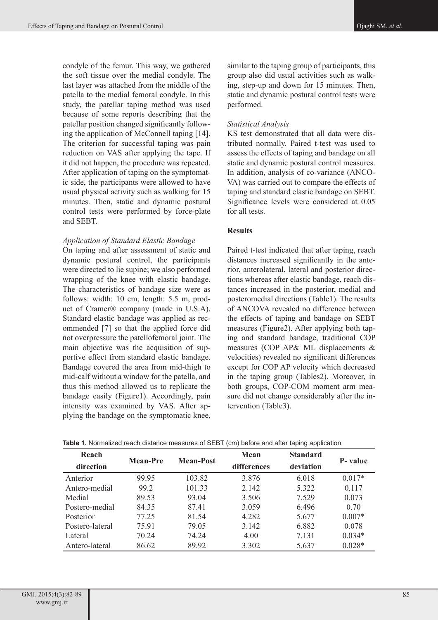condyle of the femur. This way, we gathered the soft tissue over the medial condyle. The last layer was attached from the middle of the patella to the medial femoral condyle. In this study, the patellar taping method was used because of some reports describing that the patellar position changed significantly following the application of McConnell taping [14]. The criterion for successful taping was pain reduction on VAS after applying the tape. If it did not happen, the procedure was repeated. After application of taping on the symptomatic side, the participants were allowed to have usual physical activity such as walking for 15 minutes. Then, static and dynamic postural control tests were performed by force-plate and SEBT.

# *Application of Standard Elastic Bandage*

On taping and after assessment of static and dynamic postural control, the participants were directed to lie supine; we also performed wrapping of the knee with elastic bandage. The characteristics of bandage size were as follows: width: 10 cm, length: 5.5 m, product of Cramer® company (made in U.S.A). Standard elastic bandage was applied as recommended [7] so that the applied force did not overpressure the patellofemoral joint. The main objective was the acquisition of supportive effect from standard elastic bandage. Bandage covered the area from mid-thigh to mid-calf without a window for the patella, and thus this method allowed us to replicate the bandage easily (Figure1). Accordingly, pain intensity was examined by VAS. After applying the bandage on the symptomatic knee,

similar to the taping group of participants, this group also did usual activities such as walking, step-up and down for 15 minutes. Then, static and dynamic postural control tests were performed.

## *Statistical Analysis*

KS test demonstrated that all data were distributed normally. Paired t-test was used to assess the effects of taping and bandage on all static and dynamic postural control measures. In addition, analysis of co-variance (ANCO-VA) was carried out to compare the effects of taping and standard elastic bandage on SEBT. Significance levels were considered at 0.05 for all tests.

# **Results**

Paired t-test indicated that after taping, reach distances increased significantly in the anterior, anterolateral, lateral and posterior directions whereas after elastic bandage, reach distances increased in the posterior, medial and posteromedial directions (Table1). The results of ANCOVA revealed no difference between the effects of taping and bandage on SEBT measures (Figure2). After applying both taping and standard bandage, traditional COP measures (COP AP& ML displacements & velocities) revealed no significant differences except for COP AP velocity which decreased in the taping group (Tables2). Moreover, in both groups, COP-COM moment arm measure did not change considerably after the intervention (Table3).

| Reach           | <b>Mean-Pre</b> | <b>Mean-Post</b> | Mean               | <b>Standard</b> | P- value |  |
|-----------------|-----------------|------------------|--------------------|-----------------|----------|--|
| direction       |                 |                  | <b>differences</b> | deviation       |          |  |
| Anterior        | 99.95           | 103.82           | 3.876              | 6.018           | $0.017*$ |  |
| Antero-medial   | 99.2            | 101.33           | 2.142              | 5.322           | 0.117    |  |
| Medial          | 89.53           | 93.04            | 3.506              | 7.529           | 0.073    |  |
| Postero-medial  | 84.35           | 87.41            | 3.059              | 6.496           | 0.70     |  |
| Posterior       | 77.25           | 81.54            | 4.282              | 5.677           | $0.007*$ |  |
| Postero-lateral | 75.91           | 79.05            | 3.142              | 6.882           | 0.078    |  |
| Lateral         | 70.24           | 74.24            | 4.00               | 7.131           | $0.034*$ |  |
| Antero-lateral  | 86.62           | 89.92            | 3.302              | 5.637           | $0.028*$ |  |

**Table 1.** Normalized reach distance measures of SEBT (cm) before and after taping application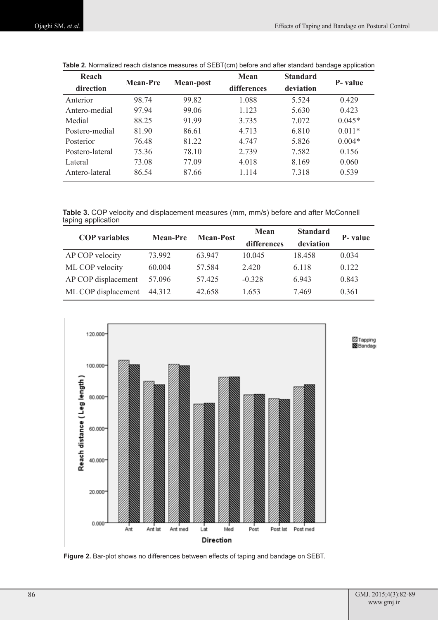| Reach           | <b>Mean-Pre</b> | <b>Mean-post</b> | Mean        | <b>Standard</b> | <b>P</b> -value |  |
|-----------------|-----------------|------------------|-------------|-----------------|-----------------|--|
| direction       |                 |                  | differences | deviation       |                 |  |
| Anterior        | 98.74           | 99.82            | 1.088       | 5.524           | 0.429           |  |
| Antero-medial   | 97 94           | 99.06            | 1.123       | 5.630           | 0.423           |  |
| Medial          | 88.25           | 91.99            | 3.735       | 7.072           | $0.045*$        |  |
| Postero-medial  | 81.90           | 86.61            | 4.713       | 6.810           | $0.011*$        |  |
| Posterior       | 76.48           | 81.22            | 4.747       | 5.826           | $0.004*$        |  |
| Postero-lateral | 75.36           | 78.10            | 2.739       | 7.582           | 0.156           |  |
| Lateral         | 73.08           | 77.09            | 4.018       | 8.169           | 0.060           |  |
| Antero-lateral  | 86.54           | 87.66            | 1.114       | 7.318           | 0.539           |  |

**Table 2.** Normalized reach distance measures of SEBT(cm) before and after standard bandage application

**Table 3.** COP velocity and displacement measures (mm, mm/s) before and after McConnell taping application

| <b>COP</b> variables | <b>Mean-Pre</b> | <b>Mean-Post</b> | Mean        | <b>Standard</b> | P- value |
|----------------------|-----------------|------------------|-------------|-----------------|----------|
|                      |                 |                  | differences | deviation       |          |
| AP COP velocity      | 73.992          | 63 947           | 10.045      | 18.458          | 0.034    |
| ML COP velocity      | 60.004          | 57.584           | 2420        | 6.118           | 0.122    |
| AP COP displacement  | 57.096          | 57.425           | $-0.328$    | 6943            | 0.843    |
| ML COP displacement  | 44.312          | 42.658           | 1653        | 7469            | 0.361    |



**Figure 2.** Bar-plot shows no differences between effects of taping and bandage on SEBT.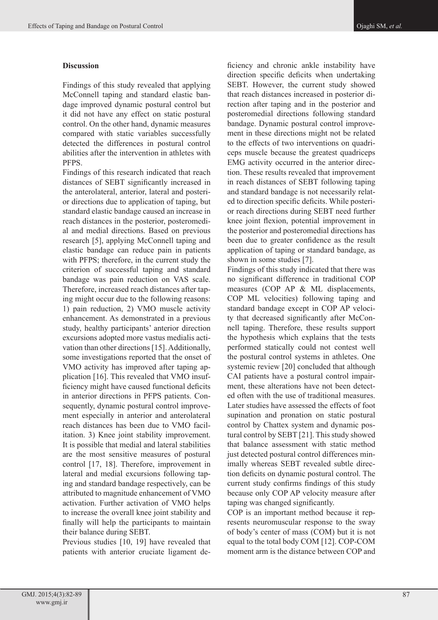# **Discussion**

Findings of this study revealed that applying McConnell taping and standard elastic bandage improved dynamic postural control but it did not have any effect on static postural control. On the other hand, dynamic measures compared with static variables successfully detected the differences in postural control abilities after the intervention in athletes with PFPS.

Findings of this research indicated that reach distances of SEBT significantly increased in the anterolateral, anterior, lateral and posterior directions due to application of taping, but standard elastic bandage caused an increase in reach distances in the posterior, posteromedial and medial directions. Based on previous research [5], applying McConnell taping and elastic bandage can reduce pain in patients with PFPS; therefore, in the current study the criterion of successful taping and standard bandage was pain reduction on VAS scale. Therefore, increased reach distances after taping might occur due to the following reasons: 1) pain reduction, 2) VMO muscle activity enhancement. As demonstrated in a previous study, healthy participants' anterior direction excursions adopted more vastus medialis activation than other directions [15]. Additionally, some investigations reported that the onset of VMO activity has improved after taping application [16]. This revealed that VMO insufficiency might have caused functional deficits in anterior directions in PFPS patients. Consequently, dynamic postural control improvement especially in anterior and anterolateral reach distances has been due to VMO facilitation. 3) Knee joint stability improvement. It is possible that medial and lateral stabilities are the most sensitive measures of postural control [17, 18]. Therefore, improvement in lateral and medial excursions following taping and standard bandage respectively, can be attributed to magnitude enhancement of VMO activation. Further activation of VMO helps to increase the overall knee joint stability and finally will help the participants to maintain their balance during SEBT.

Previous studies [10, 19] have revealed that patients with anterior cruciate ligament de-

ficiency and chronic ankle instability have direction specific deficits when undertaking SEBT. However, the current study showed that reach distances increased in posterior direction after taping and in the posterior and posteromedial directions following standard bandage. Dynamic postural control improvement in these directions might not be related to the effects of two interventions on quadriceps muscle because the greatest quadriceps EMG activity occurred in the anterior direction. These results revealed that improvement in reach distances of SEBT following taping and standard bandage is not necessarily related to direction specific deficits. While posterior reach directions during SEBT need further knee joint flexion, potential improvement in the posterior and posteromedial directions has been due to greater confidence as the result application of taping or standard bandage, as shown in some studies [7].

Findings of this study indicated that there was no significant difference in traditional COP measures (COP AP & ML displacements, COP ML velocities) following taping and standard bandage except in COP AP velocity that decreased significantly after McConnell taping. Therefore, these results support the hypothesis which explains that the tests performed statically could not contest well the postural control systems in athletes. One systemic review [20] concluded that although CAI patients have a postural control impairment, these alterations have not been detected often with the use of traditional measures. Later studies have assessed the effects of foot supination and pronation on static postural control by Chattex system and dynamic postural control by SEBT [21]. This study showed that balance assessment with static method just detected postural control differences minimally whereas SEBT revealed subtle direction deficits on dynamic postural control. The current study confirms findings of this study because only COP AP velocity measure after taping was changed significantly.

COP is an important method because it represents neuromuscular response to the sway of body's center of mass (COM) but it is not equal to the total body COM [12]. COP-COM moment arm is the distance between COP and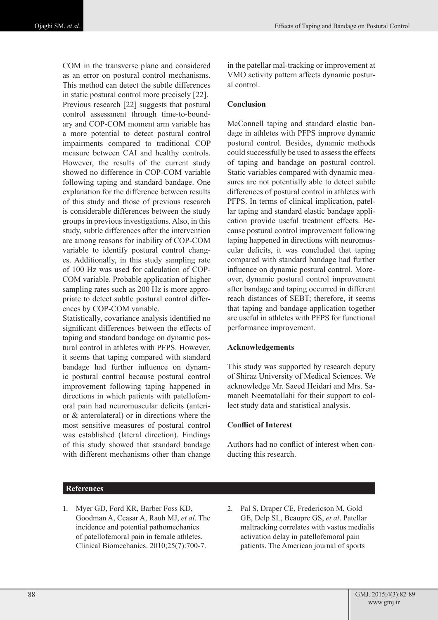COM in the transverse plane and considered as an error on postural control mechanisms. This method can detect the subtle differences in static postural control more precisely [22]. Previous research [22] suggests that postural control assessment through time-to-boundary and COP-COM moment arm variable has a more potential to detect postural control impairments compared to traditional COP measure between CAI and healthy controls. However, the results of the current study showed no difference in COP-COM variable following taping and standard bandage. One explanation for the difference between results of this study and those of previous research is considerable differences between the study groups in previous investigations. Also, in this study, subtle differences after the intervention are among reasons for inability of COP-COM variable to identify postural control changes. Additionally, in this study sampling rate of 100 Hz was used for calculation of COP-COM variable. Probable application of higher sampling rates such as 200 Hz is more appropriate to detect subtle postural control differences by COP-COM variable.

Statistically, covariance analysis identified no significant differences between the effects of taping and standard bandage on dynamic postural control in athletes with PFPS. However, it seems that taping compared with standard bandage had further influence on dynamic postural control because postural control improvement following taping happened in directions in which patients with patellofemoral pain had neuromuscular deficits (anterior & anterolateral) or in directions where the most sensitive measures of postural control was established (lateral direction). Findings of this study showed that standard bandage with different mechanisms other than change in the patellar mal-tracking or improvement at VMO activity pattern affects dynamic postural control.

#### **Conclusion**

McConnell taping and standard elastic bandage in athletes with PFPS improve dynamic postural control. Besides, dynamic methods could successfully be used to assess the effects of taping and bandage on postural control. Static variables compared with dynamic measures are not potentially able to detect subtle differences of postural control in athletes with PFPS. In terms of clinical implication, patellar taping and standard elastic bandage application provide useful treatment effects. Because postural control improvement following taping happened in directions with neuromuscular deficits, it was concluded that taping compared with standard bandage had further influence on dynamic postural control. Moreover, dynamic postural control improvement after bandage and taping occurred in different reach distances of SEBT; therefore, it seems that taping and bandage application together are useful in athletes with PFPS for functional performance improvement.

## **Acknowledgements**

This study was supported by research deputy of Shiraz University of Medical Sciences. We acknowledge Mr. Saeed Heidari and Mrs. Samaneh Neematollahi for their support to collect study data and statistical analysis.

## **Conflict of Interest**

Authors had no conflict of interest when conducting this research.

## **References**

- 1. Myer GD, Ford KR, Barber Foss KD, Goodman A, Ceasar A, Rauh MJ, *et al*. The incidence and potential pathomechanics of patellofemoral pain in female athletes. Clinical Biomechanics. 2010;25(7):700-7.
- 2. Pal S, Draper CE, Fredericson M, Gold GE, Delp SL, Beaupre GS, *et al*. Patellar maltracking correlates with vastus medialis activation delay in patellofemoral pain patients. The American journal of sports